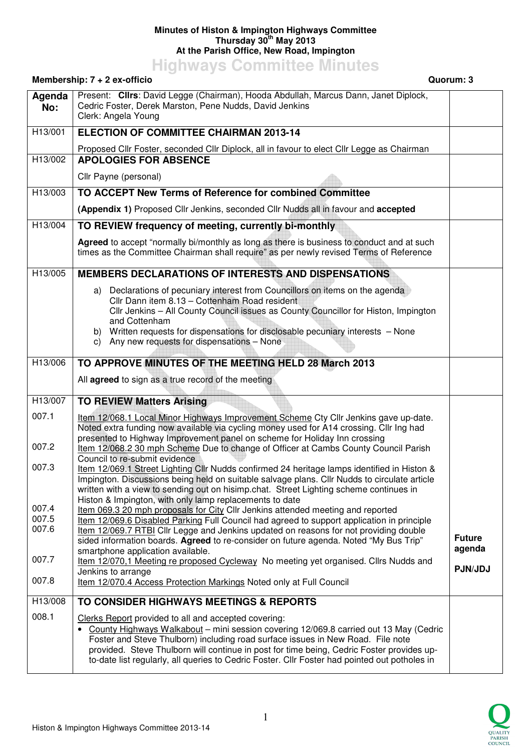## **Minutes of Histon & Impington Highways Committee Thursday 30th May 2013 At the Parish Office, New Road, Impington**

**Highways Committee Minutes** 

## **Membership: 7 + 2 ex-officio Quorum: 3 Agenda No:**  Present: **Cllrs**: David Legge (Chairman), Hooda Abdullah, Marcus Dann, Janet Diplock, Cedric Foster, Derek Marston, Pene Nudds, David Jenkins Clerk: Angela Young H13/001 **ELECTION OF COMMITTEE CHAIRMAN 2013-14** Proposed Cllr Foster, seconded Cllr Diplock, all in favour to elect Cllr Legge as Chairman H13/002 **APOLOGIES FOR ABSENCE** Cllr Payne (personal) H13/003 **TO ACCEPT New Terms of Reference for combined Committee (Appendix 1)** Proposed Cllr Jenkins, seconded Cllr Nudds all in favour and **accepted** H13/004 **TO REVIEW frequency of meeting, currently bi-monthly Agreed** to accept "normally bi/monthly as long as there is business to conduct and at such times as the Committee Chairman shall require" as per newly revised Terms of Reference H13/005 **MEMBERS DECLARATIONS OF INTERESTS AND DISPENSATIONS** a) Declarations of pecuniary interest from Councillors on items on the agenda Cllr Dann item 8.13 – Cottenham Road resident Cllr Jenkins – All County Council issues as County Councillor for Histon, Impington and Cottenham b) Written requests for dispensations for disclosable pecuniary interests – None c) Any new requests for dispensations – None H13/006 **TO APPROVE MINUTES OF THE MEETING HELD 28 March 2013** All **agreed** to sign as a true record of the meeting H13/007 007.1 007.2 007.3 007.4 007.5 007.6 007.7 007.8 **TO REVIEW Matters Arising** Item 12/068.1 Local Minor Highways Improvement Scheme Cty Cllr Jenkins gave up-date. Noted extra funding now available via cycling money used for A14 crossing. Cllr Ing had presented to Highway Improvement panel on scheme for Holiday Inn crossing Item 12/068.2 30 mph Scheme Due to change of Officer at Cambs County Council Parish Council to re-submit evidence Item 12/069.1 Street Lighting Cllr Nudds confirmed 24 heritage lamps identified in Histon & Impington. Discussions being held on suitable salvage plans. Cllr Nudds to circulate article written with a view to sending out on hisimp.chat. Street Lighting scheme continues in Histon & Impington, with only lamp replacements to date Item 069.3 20 mph proposals for City Cllr Jenkins attended meeting and reported Item 12/069.6 Disabled Parking Full Council had agreed to support application in principle Item 12/069.7 RTBI Cllr Legge and Jenkins updated on reasons for not providing double sided information boards. **Agreed** to re-consider on future agenda. Noted "My Bus Trip" smartphone application available. Item 12/070,1 Meeting re proposed Cycleway No meeting yet organised. Cllrs Nudds and Jenkins to arrange Item 12/070.4 Access Protection Markings Noted only at Full Council **Future agenda PJN/JDJ**  H13/008 008.1 **TO CONSIDER HIGHWAYS MEETINGS & REPORTS** Clerks Report provided to all and accepted covering: • County Highways Walkabout – mini session covering 12/069.8 carried out 13 May (Cedric Foster and Steve Thulborn) including road surface issues in New Road. File note provided. Steve Thulborn will continue in post for time being, Cedric Foster provides upto-date list regularly, all queries to Cedric Foster. Cllr Foster had pointed out potholes in

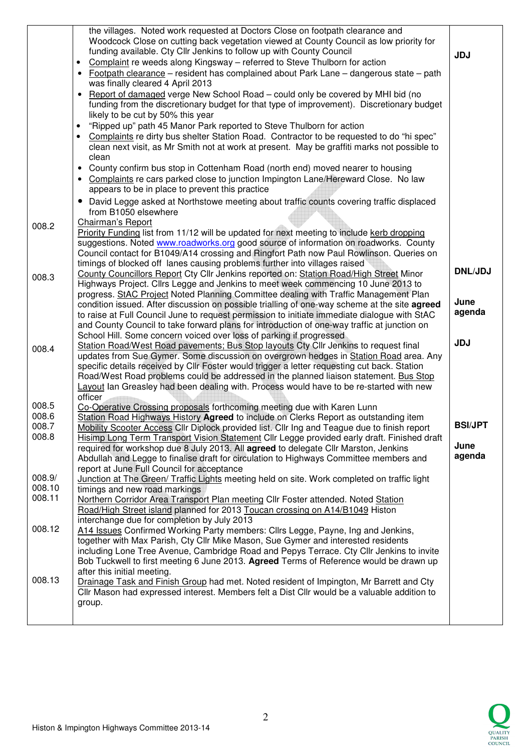|                         | the villages. Noted work requested at Doctors Close on footpath clearance and<br>Woodcock Close on cutting back vegetation viewed at County Council as low priority for<br>funding available. Cty Cllr Jenkins to follow up with County Council<br>Complaint re weeds along Kingsway - referred to Steve Thulborn for action<br>$\bullet$<br>• Footpath clearance – resident has complained about Park Lane – dangerous state – path<br>was finally cleared 4 April 2013<br>Report of damaged verge New School Road – could only be covered by MHI bid (no<br>funding from the discretionary budget for that type of improvement). Discretionary budget<br>likely to be cut by 50% this year<br>"Ripped up" path 45 Manor Park reported to Steve Thulborn for action<br>• Complaints re dirty bus shelter Station Road. Contractor to be requested to do "hi spec"<br>clean next visit, as Mr Smith not at work at present. May be graffiti marks not possible to<br>clean<br>• County confirm bus stop in Cottenham Road (north end) moved nearer to housing<br>• Complaints re cars parked close to junction Impington Lane/Hereward Close. No law<br>appears to be in place to prevent this practice | <b>JDJ</b>     |
|-------------------------|---------------------------------------------------------------------------------------------------------------------------------------------------------------------------------------------------------------------------------------------------------------------------------------------------------------------------------------------------------------------------------------------------------------------------------------------------------------------------------------------------------------------------------------------------------------------------------------------------------------------------------------------------------------------------------------------------------------------------------------------------------------------------------------------------------------------------------------------------------------------------------------------------------------------------------------------------------------------------------------------------------------------------------------------------------------------------------------------------------------------------------------------------------------------------------------------------------|----------------|
| 008.2                   | • David Legge asked at Northstowe meeting about traffic counts covering traffic displaced<br>from B1050 elsewhere<br>Chairman's Report<br>Priority Funding list from 11/12 will be updated for next meeting to include kerb dropping                                                                                                                                                                                                                                                                                                                                                                                                                                                                                                                                                                                                                                                                                                                                                                                                                                                                                                                                                                    |                |
| 008.3                   | suggestions. Noted www.roadworks.org good source of information on roadworks. County<br>Council contact for B1049/A14 crossing and Ringfort Path now Paul Rowlinson. Queries on<br>timings of blocked off lanes causing problems further into villages raised<br>County Councillors Report Cty Cllr Jenkins reported on: Station Road/High Street Minor<br>Highways Project. Cllrs Legge and Jenkins to meet week commencing 10 June 2013 to                                                                                                                                                                                                                                                                                                                                                                                                                                                                                                                                                                                                                                                                                                                                                            | <b>DNL/JDJ</b> |
|                         | progress. StAC Project Noted Planning Committee dealing with Traffic Management Plan<br>condition issued. After discussion on possible trialling of one-way scheme at the site agreed<br>to raise at Full Council June to request permission to initiate immediate dialogue with StAC<br>and County Council to take forward plans for introduction of one-way traffic at junction on<br>School Hill. Some concern voiced over loss of parking if progressed                                                                                                                                                                                                                                                                                                                                                                                                                                                                                                                                                                                                                                                                                                                                             | June<br>agenda |
| 008.4                   | Station Road/West Road pavements; Bus Stop layouts Cty Cllr Jenkins to request final<br>updates from Sue Gymer. Some discussion on overgrown hedges in Station Road area. Any<br>specific details received by Cllr Foster would trigger a letter requesting cut back. Station<br>Road/West Road problems could be addressed in the planned liaison statement. Bus Stop<br>Layout Ian Greasley had been dealing with. Process would have to be re-started with new<br>officer                                                                                                                                                                                                                                                                                                                                                                                                                                                                                                                                                                                                                                                                                                                            | <b>JDJ</b>     |
| 008.5<br>008.6<br>008.7 | Co-Operative Crossing proposals forthcoming meeting due with Karen Lunn<br>Station Road Highways History Agreed to include on Clerks Report as outstanding item<br>Mobility Scooter Access Cllr Diplock provided list. Cllr Ing and Teague due to finish report                                                                                                                                                                                                                                                                                                                                                                                                                                                                                                                                                                                                                                                                                                                                                                                                                                                                                                                                         | <b>BSI/JPT</b> |
| 008.8                   | Hisimp Long Term Transport Vision Statement Cllr Legge provided early draft. Finished draft<br>required for workshop due 8 July 2013. All agreed to delegate Cllr Marston, Jenkins<br>Abdullah and Legge to finalise draft for circulation to Highways Committee members and<br>report at June Full Council for acceptance                                                                                                                                                                                                                                                                                                                                                                                                                                                                                                                                                                                                                                                                                                                                                                                                                                                                              | June<br>agenda |
| 008.9/<br>008.10        | Junction at The Green/ Traffic Lights meeting held on site. Work completed on traffic light<br>timings and new road markings                                                                                                                                                                                                                                                                                                                                                                                                                                                                                                                                                                                                                                                                                                                                                                                                                                                                                                                                                                                                                                                                            |                |
| 008.11                  | Northern Corridor Area Transport Plan meeting Cllr Foster attended. Noted Station<br>Road/High Street island planned for 2013 Toucan crossing on A14/B1049 Histon<br>interchange due for completion by July 2013                                                                                                                                                                                                                                                                                                                                                                                                                                                                                                                                                                                                                                                                                                                                                                                                                                                                                                                                                                                        |                |
| 008.12                  | A14 Issues Confirmed Working Party members: Cllrs Legge, Payne, Ing and Jenkins,<br>together with Max Parish, Cty Cllr Mike Mason, Sue Gymer and interested residents<br>including Lone Tree Avenue, Cambridge Road and Pepys Terrace. Cty Cllr Jenkins to invite<br>Bob Tuckwell to first meeting 6 June 2013. Agreed Terms of Reference would be drawn up                                                                                                                                                                                                                                                                                                                                                                                                                                                                                                                                                                                                                                                                                                                                                                                                                                             |                |
| 008.13                  | after this initial meeting.<br>Drainage Task and Finish Group had met. Noted resident of Impington, Mr Barrett and Cty<br>Cllr Mason had expressed interest. Members felt a Dist Cllr would be a valuable addition to<br>group.                                                                                                                                                                                                                                                                                                                                                                                                                                                                                                                                                                                                                                                                                                                                                                                                                                                                                                                                                                         |                |